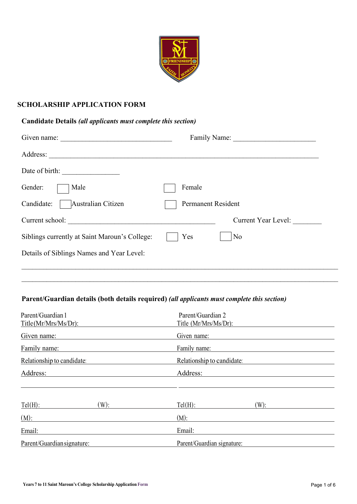

# **SCHOLARSHIP APPLICATION FORM**

### **Candidate Details** *(all applicants must complete this section)*

| Given name:                                   |                           | Family Name:        |  |
|-----------------------------------------------|---------------------------|---------------------|--|
| Address:                                      |                           |                     |  |
| Date of birth:                                |                           |                     |  |
| Gender:<br>Male                               | Female                    |                     |  |
| Australian Citizen<br>Candidate:              | <b>Permanent Resident</b> |                     |  |
| Current school:                               |                           | Current Year Level: |  |
| Siblings currently at Saint Maroun's College: | Yes                       | $\overline{\rm No}$ |  |
| Details of Siblings Names and Year Level:     |                           |                     |  |
|                                               |                           |                     |  |

\_\_\_\_\_\_\_\_\_\_\_\_\_\_\_\_\_\_\_\_\_\_\_\_\_\_\_\_\_\_\_\_\_\_\_\_\_\_\_\_\_\_\_\_\_\_\_\_\_\_\_\_\_\_\_\_\_\_\_\_\_\_\_\_\_\_\_\_\_\_\_\_\_\_\_\_\_\_\_\_\_\_\_\_\_\_\_\_

## **Parent/Guardian details (both details required)** *(all applicants must complete this section)*

| Parent/Guardian 1<br>Title(Mr/Mrs/Ms/Dr):<br>Given name: |      | Parent/Guardian 2<br>Title (Mr/Mrs/Ms/Dr):<br>Given name: |      |  |
|----------------------------------------------------------|------|-----------------------------------------------------------|------|--|
|                                                          |      |                                                           |      |  |
| Relationship to candidate:                               |      | Relationship to candidate:                                |      |  |
| Address:                                                 |      | Address:                                                  |      |  |
|                                                          |      |                                                           |      |  |
| $Tel(H)$ :                                               | (W): | Tel(H):                                                   | (W): |  |
| (M):                                                     |      | (M):                                                      |      |  |
| Email:                                                   |      | Email:                                                    |      |  |
| Parent/Guardian signature:                               |      | Parent/Guardian signature:                                |      |  |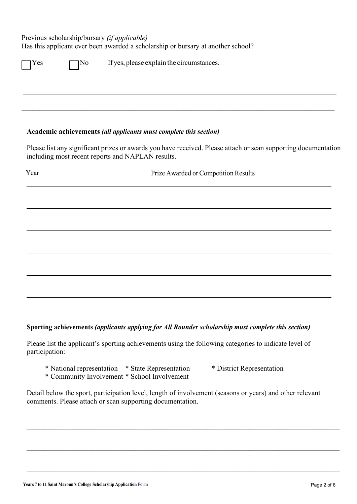| Previous scholarship/bursary (if applicable)<br>Has this applicant ever been awarded a scholarship or bursary at another school? |           |                                           |  |
|----------------------------------------------------------------------------------------------------------------------------------|-----------|-------------------------------------------|--|
| $ $   Yes                                                                                                                        | $\Box$ No | If yes, please explain the circumstances. |  |
|                                                                                                                                  |           |                                           |  |

### **Academic achievements** *(all applicants must complete this section)*

Please list any significant prizes or awards you have received. Please attach or scan supporting documentation including most recent reports and NAPLAN results.

**\_\_\_\_\_\_\_\_\_\_\_\_\_\_\_\_\_\_\_\_\_\_\_\_\_\_\_\_\_\_\_\_\_\_\_\_\_\_\_\_\_\_\_\_\_\_\_\_\_\_\_\_\_\_\_\_\_\_\_\_\_\_\_\_\_\_\_\_\_\_\_\_\_\_\_\_\_\_\_\_\_\_\_\_\_\_\_**

| Year | Prize Awarded or Competition Results |
|------|--------------------------------------|
|      |                                      |
|      |                                      |
|      |                                      |
|      |                                      |
|      |                                      |
|      |                                      |

#### **Sporting achievements** *(applicants applying for All Rounder scholarship must complete this section)*

Please list the applicant's sporting achievements using the following categories to indicate level of participation:

- \* National representation \* State Representation \* District Representation
	-
- \* Community Involvement \* School Involvement

Detail below the sport, participation level, length of involvement (seasons or years) and other relevant comments. Please attach or scan supporting documentation.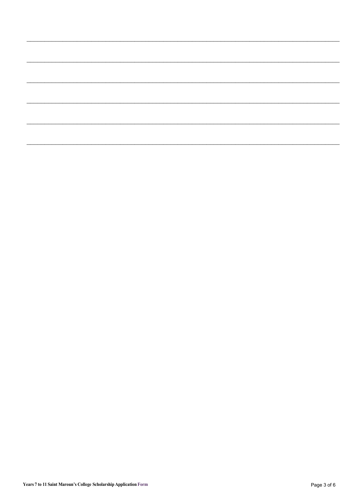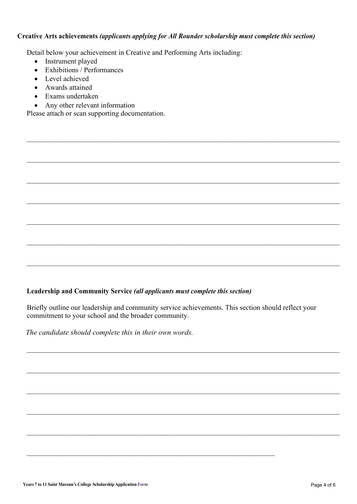### **Creative Arts achievements** *(applicants applying for All Rounder scholarship must complete this section)*

\_\_\_\_\_\_\_\_\_\_\_\_\_\_\_\_\_\_\_\_\_\_\_\_\_\_\_\_\_\_\_\_\_\_\_\_\_\_\_\_\_\_\_\_\_\_\_\_\_\_\_\_\_\_\_\_\_\_\_\_\_\_\_\_\_\_\_\_\_\_\_\_\_\_\_\_\_\_\_\_\_\_\_\_\_\_\_

\_\_\_\_\_\_\_\_\_\_\_\_\_\_\_\_\_\_\_\_\_\_\_\_\_\_\_\_\_\_\_\_\_\_\_\_\_\_\_\_\_\_\_\_\_\_\_\_\_\_\_\_\_\_\_\_\_\_\_\_\_\_\_\_\_\_\_\_\_\_\_\_\_\_\_\_\_\_\_\_\_\_\_\_\_\_\_

\_\_\_\_\_\_\_\_\_\_\_\_\_\_\_\_\_\_\_\_\_\_\_\_\_\_\_\_\_\_\_\_\_\_\_\_\_\_\_\_\_\_\_\_\_\_\_\_\_\_\_\_\_\_\_\_\_\_\_\_\_\_\_\_\_\_\_\_\_\_\_\_\_\_\_\_\_\_\_\_\_\_\_\_\_\_\_

\_\_\_\_\_\_\_\_\_\_\_\_\_\_\_\_\_\_\_\_\_\_\_\_\_\_\_\_\_\_\_\_\_\_\_\_\_\_\_\_\_\_\_\_\_\_\_\_\_\_\_\_\_\_\_\_\_\_\_\_\_\_\_\_\_\_\_\_\_\_\_\_\_\_\_\_\_\_\_\_\_\_\_\_\_\_\_

\_\_\_\_\_\_\_\_\_\_\_\_\_\_\_\_\_\_\_\_\_\_\_\_\_\_\_\_\_\_\_\_\_\_\_\_\_\_\_\_\_\_\_\_\_\_\_\_\_\_\_\_\_\_\_\_\_\_\_\_\_\_\_\_\_\_\_\_\_\_\_\_\_\_\_\_\_\_\_\_\_\_\_\_\_\_\_

\_\_\_\_\_\_\_\_\_\_\_\_\_\_\_\_\_\_\_\_\_\_\_\_\_\_\_\_\_\_\_\_\_\_\_\_\_\_\_\_\_\_\_\_\_\_\_\_\_\_\_\_\_\_\_\_\_\_\_\_\_\_\_\_\_\_\_\_\_\_\_\_\_\_\_\_\_\_\_\_\_\_\_\_\_\_\_

\_\_\_\_\_\_\_\_\_\_\_\_\_\_\_\_\_\_\_\_\_\_\_\_\_\_\_\_\_\_\_\_\_\_\_\_\_\_\_\_\_\_\_\_\_\_\_\_\_\_\_\_\_\_\_\_\_\_\_\_\_\_\_\_\_\_\_\_\_\_\_\_\_\_\_\_\_\_\_\_\_\_\_\_\_\_\_

\_\_\_\_\_\_\_\_\_\_\_\_\_\_\_\_\_\_\_\_\_\_\_\_\_\_\_\_\_\_\_\_\_\_\_\_\_\_\_\_\_\_\_\_\_\_\_\_\_\_\_\_\_\_\_\_\_\_\_\_\_\_\_\_\_\_\_\_\_\_\_\_\_\_\_\_\_\_\_\_\_\_\_\_\_\_\_

\_\_\_\_\_\_\_\_\_\_\_\_\_\_\_\_\_\_\_\_\_\_\_\_\_\_\_\_\_\_\_\_\_\_\_\_\_\_\_\_\_\_\_\_\_\_\_\_\_\_\_\_\_\_\_\_\_\_\_\_\_\_\_\_\_\_\_\_\_\_\_\_\_\_\_\_\_\_\_\_\_\_\_\_\_\_\_

\_\_\_\_\_\_\_\_\_\_\_\_\_\_\_\_\_\_\_\_\_\_\_\_\_\_\_\_\_\_\_\_\_\_\_\_\_\_\_\_\_\_\_\_\_\_\_\_\_\_\_\_\_\_\_\_\_\_\_\_\_\_\_\_\_\_\_\_\_\_\_\_\_\_\_\_\_\_\_\_\_\_\_\_\_\_\_

Detail below your achievement in Creative and Performing Arts including:

- Instrument played
- Exhibitions / Performances
- Level achieved
- Awards attained
- Exams undertaken
- Any other relevant information

Please attach or scan supporting documentation.

#### **Leadership and Community Service** *(all applicants must complete this section)*

Briefly outline our leadership and community service achievements. This section should reflect your commitment to your school and the broader community.

*The candidate should complete this in their own words.*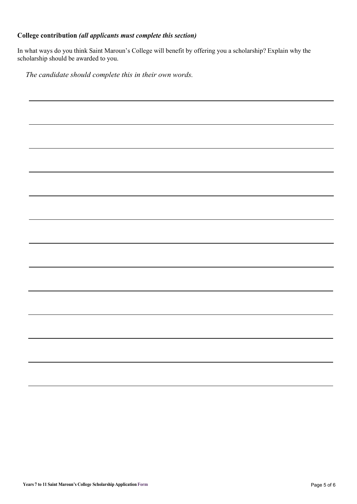## **College contribution** *(all applicants must complete this section)*

In what ways do you think Saint Maroun's College will benefit by offering you a scholarship? Explain why the scholarship should be awarded to you.

*The candidate should complete this in their own words.*

**Years 7 to 11 Saint Maroun's College Scholarship Application Form** Page 5 of 6